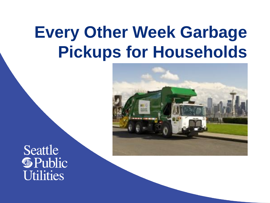# **Every Other Week Garbage Pickups for Households**



Seattle **S**Public **Utilities**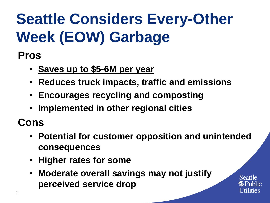# **Seattle Considers Every-Other Week (EOW) Garbage**

**Pros**

- **Saves up to \$5-6M per year**
- **Reduces truck impacts, traffic and emissions**
- **Encourages recycling and composting**
- **Implemented in other regional cities**

**Cons**

- **Potential for customer opposition and unintended consequences**
- **Higher rates for some**
- **Moderate overall savings may not justify perceived service drop**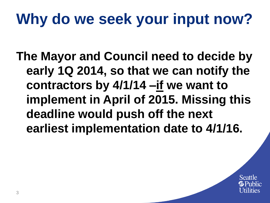## **Why do we seek your input now?**

**The Mayor and Council need to decide by early 1Q 2014, so that we can notify the contractors by 4/1/14 –if we want to implement in April of 2015. Missing this deadline would push off the next earliest implementation date to 4/1/16.**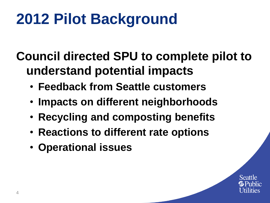## **2012 Pilot Background**

### **Council directed SPU to complete pilot to understand potential impacts**

- **Feedback from Seattle customers**
- **Impacts on different neighborhoods**
- **Recycling and composting benefits**
- **Reactions to different rate options**
- **Operational issues**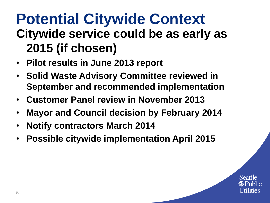### **Potential Citywide Context Citywide service could be as early as 2015 (if chosen)**

- **Pilot results in June 2013 report**
- **Solid Waste Advisory Committee reviewed in September and recommended implementation**
- **Customer Panel review in November 2013**
- **Mayor and Council decision by February 2014**
- **Notify contractors March 2014**
- **Possible citywide implementation April 2015**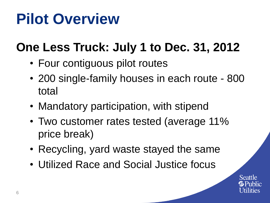## **Pilot Overview**

### **One Less Truck: July 1 to Dec. 31, 2012**

- Four contiguous pilot routes
- 200 single-family houses in each route 800 total
- Mandatory participation, with stipend
- Two customer rates tested (average 11% price break)
- Recycling, yard waste stayed the same
- Utilized Race and Social Justice focus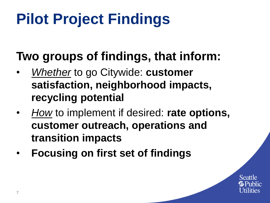# **Pilot Project Findings**

### **Two groups of findings, that inform:**

- *Whether* to go Citywide: **customer satisfaction, neighborhood impacts, recycling potential**
- *How* to implement if desired: **rate options, customer outreach, operations and transition impacts**
- **Focusing on first set of findings**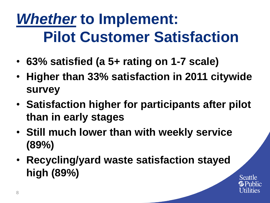## *Whether* **to Implement: Pilot Customer Satisfaction**

- **63% satisfied (a 5+ rating on 1-7 scale)**
- **Higher than 33% satisfaction in 2011 citywide survey**
- **Satisfaction higher for participants after pilot than in early stages**
- **Still much lower than with weekly service (89%)**
- **Recycling/yard waste satisfaction stayed high (89%)**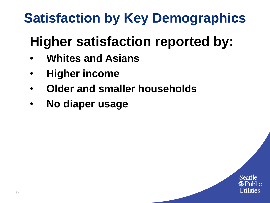## **Satisfaction by Key Demographics**

## **Higher satisfaction reported by:**

- **Whites and Asians**
- **Higher income**
- **Older and smaller households**
- **No diaper usage**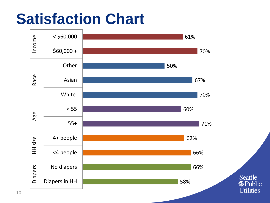## **Satisfaction Chart**

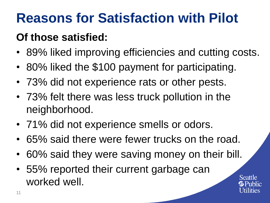### **Reasons for Satisfaction with Pilot**

#### **Of those satisfied:**

- 89% liked improving efficiencies and cutting costs.
- 80% liked the \$100 payment for participating.
- 73% did not experience rats or other pests.
- 73% felt there was less truck pollution in the neighborhood.
- 71% did not experience smells or odors.
- 65% said there were fewer trucks on the road.
- 60% said they were saving money on their bill.
- 55% reported their current garbage can worked well.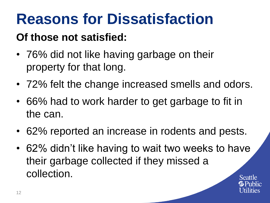## **Reasons for Dissatisfaction**

#### **Of those not satisfied:**

- 76% did not like having garbage on their property for that long.
- 72% felt the change increased smells and odors.
- 66% had to work harder to get garbage to fit in the can.
- 62% reported an increase in rodents and pests.
- 62% didn't like having to wait two weeks to have their garbage collected if they missed a collection.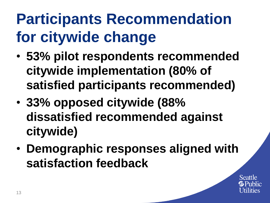# **Participants Recommendation for citywide change**

- **53% pilot respondents recommended citywide implementation (80% of satisfied participants recommended)**
- **33% opposed citywide (88% dissatisfied recommended against citywide)**
- **Demographic responses aligned with satisfaction feedback**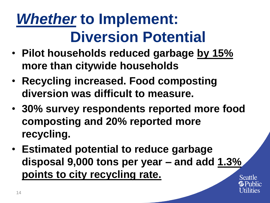## *Whether* **to Implement: Diversion Potential**

- **Pilot households reduced garbage by 15% more than citywide households**
- **Recycling increased. Food composting diversion was difficult to measure.**
- **30% survey respondents reported more food composting and 20% reported more recycling.**
- **Estimated potential to reduce garbage disposal 9,000 tons per year – and add 1.3% points to city recycling rate.**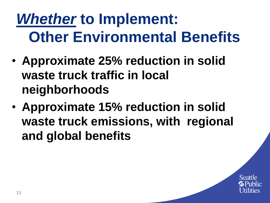# *Whether* **to Implement: Other Environmental Benefits**

- **Approximate 25% reduction in solid waste truck traffic in local neighborhoods**
- **Approximate 15% reduction in solid waste truck emissions, with regional and global benefits**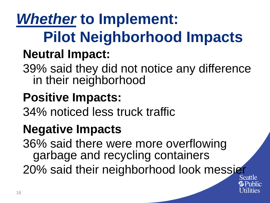## *Whether* **to Implement: Pilot Neighborhood Impacts Neutral Impact:**

39% said they did not notice any difference in their neighborhood

### **Positive Impacts:**

34% noticed less truck traffic

### **Negative Impacts**

36% said there were more overflowing garbage and recycling containers 20% said their neighborhood look messier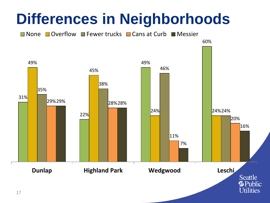## **Differences in Neighborhoods**

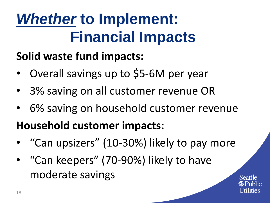# *Whether* **to Implement: Financial Impacts**

#### **Solid waste fund impacts:**

- Overall savings up to \$5-6M per year
- 3% saving on all customer revenue OR
- 6% saving on household customer revenue

#### **Household customer impacts:**

- "Can upsizers" (10-30%) likely to pay more
- "Can keepers" (70-90%) likely to have moderate savings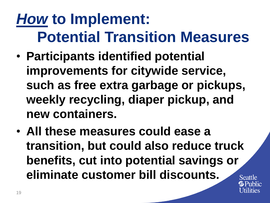# *How* **to Implement: Potential Transition Measures**

- **Participants identified potential improvements for citywide service, such as free extra garbage or pickups, weekly recycling, diaper pickup, and new containers.**
- **All these measures could ease a transition, but could also reduce truck benefits, cut into potential savings or eliminate customer bill discounts.**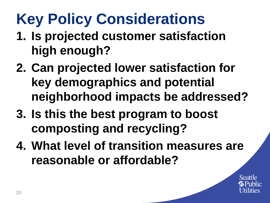# **Key Policy Considerations**

- **1. Is projected customer satisfaction high enough?**
- **2. Can projected lower satisfaction for key demographics and potential neighborhood impacts be addressed?**
- **3. Is this the best program to boost composting and recycling?**
- **4. What level of transition measures are reasonable or affordable?**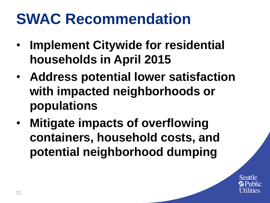## **SWAC Recommendation**

- **Implement Citywide for residential households in April 2015**
- **Address potential lower satisfaction with impacted neighborhoods or populations**
- **Mitigate impacts of overflowing containers, household costs, and potential neighborhood dumping**